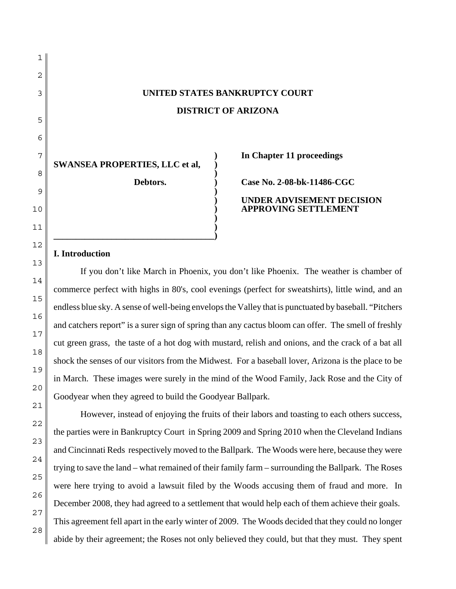# **UNITED STATES BANKRUPTCY COURT DISTRICT OF ARIZONA**

**)**

**)**

**) )**

**SWANSEA PROPERTIES, LLC et al, )**

**\_\_\_\_\_\_\_\_\_\_\_\_\_\_\_\_\_\_\_\_\_\_\_\_\_\_\_\_\_\_\_\_\_\_\_\_)**

**) In Chapter 11 proceedings**

**Debtors. ) Case No. 2-08-bk-11486-CGC**

**) UNDER ADVISEMENT DECISION ) APPROVING SETTLEMENT**

#### **I. Introduction**

If you don't like March in Phoenix, you don't like Phoenix. The weather is chamber of commerce perfect with highs in 80's, cool evenings (perfect for sweatshirts), little wind, and an endless blue sky. A sense of well-being envelops the Valley that is punctuated by baseball. "Pitchers and catchers report" is a surer sign of spring than any cactus bloom can offer. The smell of freshly cut green grass, the taste of a hot dog with mustard, relish and onions, and the crack of a bat all shock the senses of our visitors from the Midwest. For a baseball lover, Arizona is the place to be in March. These images were surely in the mind of the Wood Family, Jack Rose and the City of Goodyear when they agreed to build the Goodyear Ballpark.

However, instead of enjoying the fruits of their labors and toasting to each others success, the parties were in Bankruptcy Court in Spring 2009 and Spring 2010 when the Cleveland Indians and Cincinnati Reds respectively moved to the Ballpark. The Woods were here, because they were trying to save the land – what remained of their family farm – surrounding the Ballpark. The Roses were here trying to avoid a lawsuit filed by the Woods accusing them of fraud and more. In December 2008, they had agreed to a settlement that would help each of them achieve their goals. This agreement fell apart in the early winter of 2009. The Woods decided that they could no longer abide by their agreement; the Roses not only believed they could, but that they must. They spent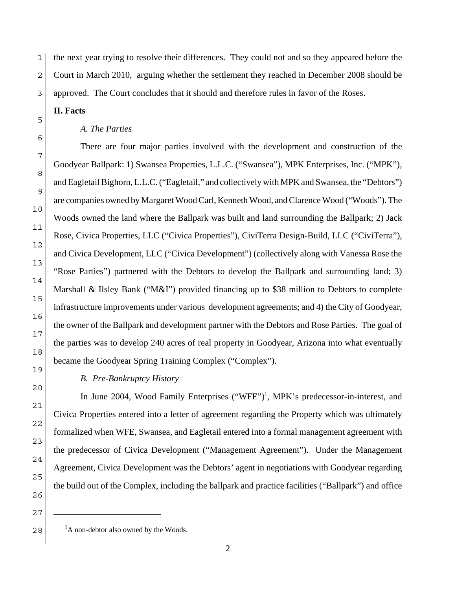1 2 3 the next year trying to resolve their differences. They could not and so they appeared before the Court in March 2010, arguing whether the settlement they reached in December 2008 should be approved. The Court concludes that it should and therefore rules in favor of the Roses.

**II. Facts**

#### *A. The Parties*

There are four major parties involved with the development and construction of the Goodyear Ballpark: 1) Swansea Properties, L.L.C. ("Swansea"), MPK Enterprises, Inc. ("MPK"), and Eagletail Bighorn, L.L.C. ("Eagletail," and collectively with MPK and Swansea, the "Debtors") are companies owned by Margaret Wood Carl, Kenneth Wood, and Clarence Wood ("Woods"). The Woods owned the land where the Ballpark was built and land surrounding the Ballpark; 2) Jack Rose, Civica Properties, LLC ("Civica Properties"), CiviTerra Design-Build, LLC ("CiviTerra"), and Civica Development, LLC ("Civica Development") (collectively along with Vanessa Rose the "Rose Parties") partnered with the Debtors to develop the Ballpark and surrounding land; 3) Marshall & Ilsley Bank ("M&I") provided financing up to \$38 million to Debtors to complete infrastructure improvements under various development agreements; and 4) the City of Goodyear, the owner of the Ballpark and development partner with the Debtors and Rose Parties. The goal of the parties was to develop 240 acres of real property in Goodyear, Arizona into what eventually became the Goodyear Spring Training Complex ("Complex").

# *B. Pre-Bankruptcy History*

In June 2004, Wood Family Enterprises ("WFE")<sup>1</sup>, MPK's predecessor-in-interest, and Civica Properties entered into a letter of agreement regarding the Property which was ultimately formalized when WFE, Swansea, and Eagletail entered into a formal management agreement with the predecessor of Civica Development ("Management Agreement"). Under the Management Agreement, Civica Development was the Debtors' agent in negotiations with Goodyear regarding the build out of the Complex, including the ballpark and practice facilities ("Ballpark") and office

<sup>&</sup>lt;sup>1</sup>A non-debtor also owned by the Woods.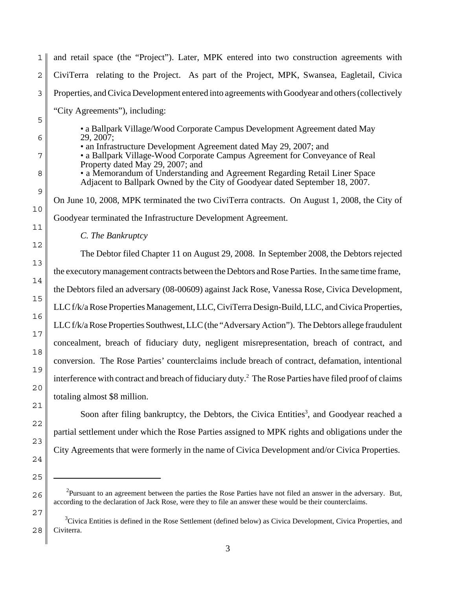| $\mathbf{1}$ | and retail space (the "Project"). Later, MPK entered into two construction agreements with                                                                                                     |
|--------------|------------------------------------------------------------------------------------------------------------------------------------------------------------------------------------------------|
| 2            | CiviTerra relating to the Project. As part of the Project, MPK, Swansea, Eagletail, Civica                                                                                                     |
| 3            | Properties, and Civica Development entered into agreements with Goodyear and others (collectively                                                                                              |
| 5            | "City Agreements"), including:                                                                                                                                                                 |
| 6            | • a Ballpark Village/Wood Corporate Campus Development Agreement dated May<br>29, 2007;                                                                                                        |
| 7            | • an Infrastructure Development Agreement dated May 29, 2007; and<br>• a Ballpark Village-Wood Corporate Campus Agreement for Conveyance of Real                                               |
| 8            | Property dated May 29, 2007; and<br>• a Memorandum of Understanding and Agreement Regarding Retail Liner Space<br>Adjacent to Ballpark Owned by the City of Goodyear dated September 18, 2007. |
| 9            | On June 10, 2008, MPK terminated the two CiviTerra contracts. On August 1, 2008, the City of                                                                                                   |
| 10           | Goodyear terminated the Infrastructure Development Agreement.                                                                                                                                  |
| 11           | C. The Bankruptcy                                                                                                                                                                              |
| 12           | The Debtor filed Chapter 11 on August 29, 2008. In September 2008, the Debtors rejected                                                                                                        |
| 13           | the executory management contracts between the Debtors and Rose Parties. In the same time frame,                                                                                               |
| 14           | the Debtors filed an adversary (08-00609) against Jack Rose, Vanessa Rose, Civica Development,                                                                                                 |
| 15           | LLC f/k/a Rose Properties Management, LLC, CiviTerra Design-Build, LLC, and Civica Properties,                                                                                                 |
| 16           | LLC f/k/a Rose Properties Southwest, LLC (the "Adversary Action"). The Debtors allege fraudulent                                                                                               |
| 17           | concealment, breach of fiduciary duty, negligent misrepresentation, breach of contract, and                                                                                                    |
| 18           | conversion. The Rose Parties' counterclaims include breach of contract, defamation, intentional                                                                                                |
| 19           | interference with contract and breach of fiduciary duty. <sup>2</sup> The Rose Parties have filed proof of claims                                                                              |
| 20           | totaling almost \$8 million.                                                                                                                                                                   |
| 21           | Soon after filing bankruptcy, the Debtors, the Civica Entities <sup>3</sup> , and Goodyear reached a                                                                                           |
| 22           | partial settlement under which the Rose Parties assigned to MPK rights and obligations under the                                                                                               |
| 23           | City Agreements that were formerly in the name of Civica Development and/or Civica Properties.                                                                                                 |

24

25

26

 $2$ Pursuant to an agreement between the parties the Rose Parties have not filed an answer in the adversary. But, according to the declaration of Jack Rose, were they to file an answer these would be their counterclaims.

<sup>28</sup> <sup>3</sup>Civica Entities is defined in the Rose Settlement (defined below) as Civica Development, Civica Properties, and Civiterra.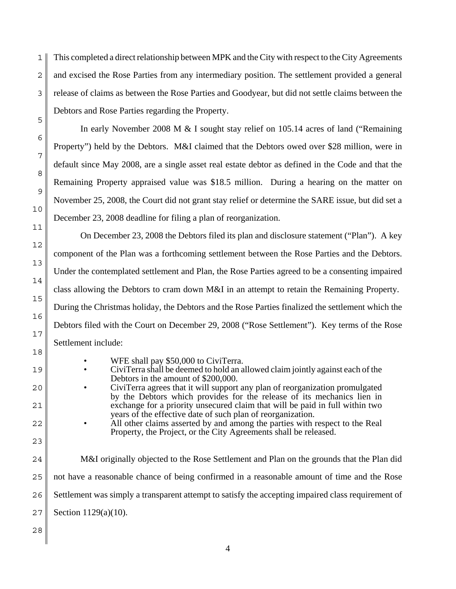1 2 3 This completed a direct relationship between MPK and the City with respect to the City Agreements and excised the Rose Parties from any intermediary position. The settlement provided a general release of claims as between the Rose Parties and Goodyear, but did not settle claims between the Debtors and Rose Parties regarding the Property.

In early November 2008 M & I sought stay relief on 105.14 acres of land ("Remaining Property") held by the Debtors. M&I claimed that the Debtors owed over \$28 million, were in default since May 2008, are a single asset real estate debtor as defined in the Code and that the Remaining Property appraised value was \$18.5 million. During a hearing on the matter on November 25, 2008, the Court did not grant stay relief or determine the SARE issue, but did set a December 23, 2008 deadline for filing a plan of reorganization.

On December 23, 2008 the Debtors filed its plan and disclosure statement ("Plan"). A key component of the Plan was a forthcoming settlement between the Rose Parties and the Debtors. Under the contemplated settlement and Plan, the Rose Parties agreed to be a consenting impaired class allowing the Debtors to cram down M&I in an attempt to retain the Remaining Property. During the Christmas holiday, the Debtors and the Rose Parties finalized the settlement which the Debtors filed with the Court on December 29, 2008 ("Rose Settlement"). Key terms of the Rose Settlement include:

- WFE shall pay \$50,000 to CiviTerra.
- CiviTerra shall be deemed to hold an allowed claim jointly against each of the Debtors in the amount of \$200,000.
- CiviTerra agrees that it will support any plan of reorganization promulgated by the Debtors which provides for the release of its mechanics lien in exchange for a priority unsecured claim that will be paid in full within two years of the effective date of such plan of reorganization.
	- All other claims asserted by and among the parties with respect to the Real Property, the Project, or the City Agreements shall be released.
- 24 25 26 27 M&I originally objected to the Rose Settlement and Plan on the grounds that the Plan did not have a reasonable chance of being confirmed in a reasonable amount of time and the Rose Settlement was simply a transparent attempt to satisfy the accepting impaired class requirement of Section 1129(a)(10).
- 28

5

6

7

8

9

10

11

12

13

14

15

16

17

18

19

20

21

22

23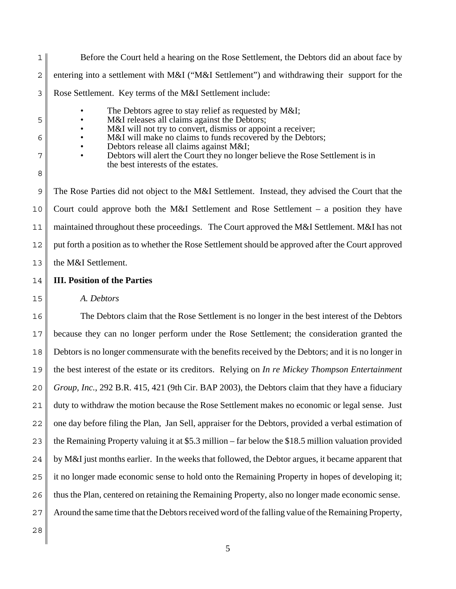1 2 3 5 6 7 8 9 10 11 12 13 Before the Court held a hearing on the Rose Settlement, the Debtors did an about face by entering into a settlement with M&I ("M&I Settlement") and withdrawing their support for the Rose Settlement. Key terms of the M&I Settlement include: The Debtors agree to stay relief as requested by M&I; M&I releases all claims against the Debtors; M&I will not try to convert, dismiss or appoint a receiver; M&I will make no claims to funds recovered by the Debtors; • Debtors release all claims against M&I; • Debtors will alert the Court they no longer believe the Rose Settlement is in the best interests of the estates. The Rose Parties did not object to the M&I Settlement. Instead, they advised the Court that the Court could approve both the M&I Settlement and Rose Settlement – a position they have maintained throughout these proceedings. The Court approved the M&I Settlement. M&I has not put forth a position as to whether the Rose Settlement should be approved after the Court approved the M&I Settlement.

#### 14 **III. Position of the Parties**

*A. Debtors*

15

16 17 18 19 20 21 22 23 24 25 26 27 28 The Debtors claim that the Rose Settlement is no longer in the best interest of the Debtors because they can no longer perform under the Rose Settlement; the consideration granted the Debtors is no longer commensurate with the benefits received by the Debtors; and it is no longer in the best interest of the estate or its creditors. Relying on *In re Mickey Thompson Entertainment Group, Inc.*, 292 B.R. 415, 421 (9th Cir. BAP 2003), the Debtors claim that they have a fiduciary duty to withdraw the motion because the Rose Settlement makes no economic or legal sense. Just one day before filing the Plan, Jan Sell, appraiser for the Debtors, provided a verbal estimation of the Remaining Property valuing it at \$5.3 million – far below the \$18.5 million valuation provided by M&I just months earlier. In the weeks that followed, the Debtor argues, it became apparent that it no longer made economic sense to hold onto the Remaining Property in hopes of developing it; thus the Plan, centered on retaining the Remaining Property, also no longer made economic sense. Around the same time that the Debtors received word of the falling value of the Remaining Property,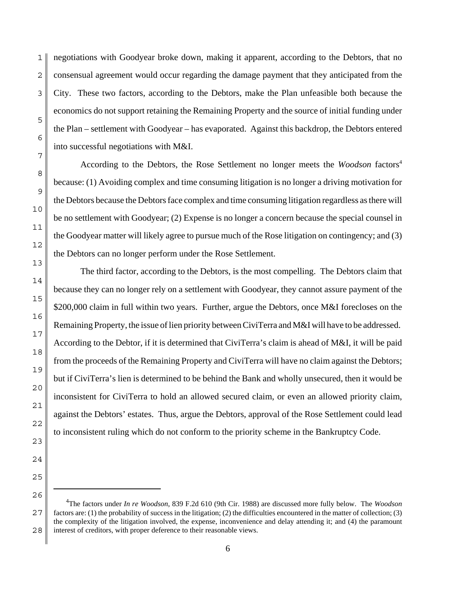1 negotiations with Goodyear broke down, making it apparent, according to the Debtors, that no consensual agreement would occur regarding the damage payment that they anticipated from the City. These two factors, according to the Debtors, make the Plan unfeasible both because the economics do not support retaining the Remaining Property and the source of initial funding under the Plan – settlement with Goodyear – has evaporated. Against this backdrop, the Debtors entered into successful negotiations with M&I.

According to the Debtors, the Rose Settlement no longer meets the *Woodson* factors<sup>4</sup> because: (1) Avoiding complex and time consuming litigation is no longer a driving motivation for the Debtors because the Debtors face complex and time consuming litigation regardless as there will be no settlement with Goodyear; (2) Expense is no longer a concern because the special counsel in the Goodyear matter will likely agree to pursue much of the Rose litigation on contingency; and (3) the Debtors can no longer perform under the Rose Settlement.

The third factor, according to the Debtors, is the most compelling. The Debtors claim that because they can no longer rely on a settlement with Goodyear, they cannot assure payment of the \$200,000 claim in full within two years. Further, argue the Debtors, once M&I forecloses on the Remaining Property, the issue of lien priority between CiviTerra and M&I will have to be addressed. According to the Debtor, if it is determined that CiviTerra's claim is ahead of M&I, it will be paid from the proceeds of the Remaining Property and CiviTerra will have no claim against the Debtors; but if CiviTerra's lien is determined to be behind the Bank and wholly unsecured, then it would be inconsistent for CiviTerra to hold an allowed secured claim, or even an allowed priority claim, against the Debtors' estates. Thus, argue the Debtors, approval of the Rose Settlement could lead to inconsistent ruling which do not conform to the priority scheme in the Bankruptcy Code.

 <sup>4</sup> The factors under *In re Woodson*, 839 F.2d 610 (9th Cir. 1988) are discussed more fully below. The *Woodson* factors are: (1) the probability of success in the litigation; (2) the difficulties encountered in the matter of collection; (3) the complexity of the litigation involved, the expense, inconvenience and delay attending it; and (4) the paramount interest of creditors, with proper deference to their reasonable views.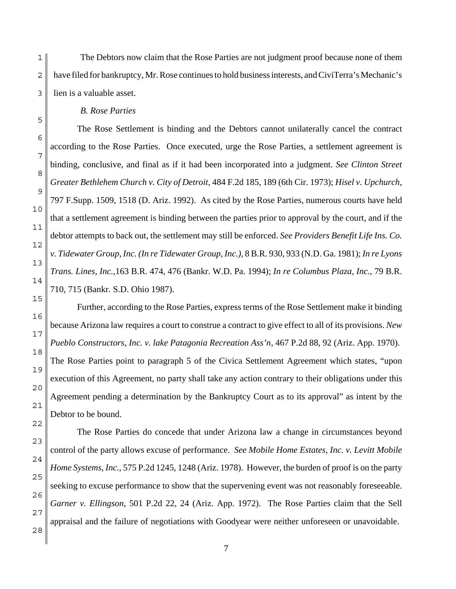1 2 3 The Debtors now claim that the Rose Parties are not judgment proof because none of them have filed for bankruptcy, Mr. Rose continues to hold business interests, and CiviTerra's Mechanic's lien is a valuable asset.

### *B. Rose Parties*

The Rose Settlement is binding and the Debtors cannot unilaterally cancel the contract according to the Rose Parties. Once executed, urge the Rose Parties, a settlement agreement is binding, conclusive, and final as if it had been incorporated into a judgment. *See Clinton Street Greater Bethlehem Church v. City of Detroit*, 484 F.2d 185, 189 (6th Cir. 1973); *Hisel v. Upchurch*, 797 F.Supp. 1509, 1518 (D. Ariz. 1992). As cited by the Rose Parties, numerous courts have held that a settlement agreement is binding between the parties prior to approval by the court, and if the debtor attempts to back out, the settlement may still be enforced. *See Providers Benefit Life Ins. Co. v. Tidewater Group, Inc. (In re Tidewater Group, Inc.)*, 8 B.R. 930, 933 (N.D. Ga. 1981); *In re Lyons Trans. Lines, Inc.*,163 B.R. 474, 476 (Bankr. W.D. Pa. 1994); *In re Columbus Plaza, Inc.*, 79 B.R. 710, 715 (Bankr. S.D. Ohio 1987).

5

6

7

8

9

Further, according to the Rose Parties, express terms of the Rose Settlement make it binding because Arizona law requires a court to construe a contract to give effect to all of its provisions. *New Pueblo Constructors, Inc. v. lake Patagonia Recreation Ass'n*, 467 P.2d 88, 92 (Ariz. App. 1970). The Rose Parties point to paragraph 5 of the Civica Settlement Agreement which states, "upon execution of this Agreement, no party shall take any action contrary to their obligations under this Agreement pending a determination by the Bankruptcy Court as to its approval" as intent by the Debtor to be bound.

25 26 27 28 The Rose Parties do concede that under Arizona law a change in circumstances beyond control of the party allows excuse of performance. *See Mobile Home Estates, Inc. v. Levitt Mobile Home Systems, Inc.*, 575 P.2d 1245, 1248 (Ariz. 1978). However, the burden of proof is on the party seeking to excuse performance to show that the supervening event was not reasonably foreseeable. *Garner v. Ellingson*, 501 P.2d 22, 24 (Ariz. App. 1972). The Rose Parties claim that the Sell appraisal and the failure of negotiations with Goodyear were neither unforeseen or unavoidable.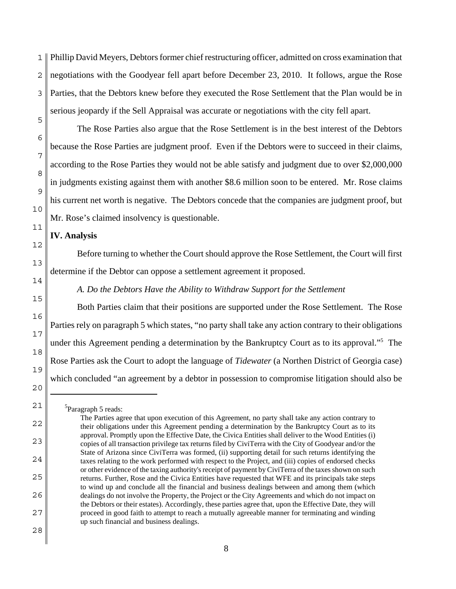1 2 3 5 Phillip David Meyers, Debtors former chief restructuring officer, admitted on cross examination that negotiations with the Goodyear fell apart before December 23, 2010. It follows, argue the Rose Parties, that the Debtors knew before they executed the Rose Settlement that the Plan would be in serious jeopardy if the Sell Appraisal was accurate or negotiations with the city fell apart.

The Rose Parties also argue that the Rose Settlement is in the best interest of the Debtors because the Rose Parties are judgment proof. Even if the Debtors were to succeed in their claims, according to the Rose Parties they would not be able satisfy and judgment due to over \$2,000,000 in judgments existing against them with another \$8.6 million soon to be entered. Mr. Rose claims his current net worth is negative. The Debtors concede that the companies are judgment proof, but Mr. Rose's claimed insolvency is questionable.

#### **IV. Analysis**

6

7

8

9

10

11

12

13

14

15

16

17

18

19

20

21

22

23

24

25

26

27

Before turning to whether the Court should approve the Rose Settlement, the Court will first determine if the Debtor can oppose a settlement agreement it proposed.

*A. Do the Debtors Have the Ability to Withdraw Support for the Settlement*

Both Parties claim that their positions are supported under the Rose Settlement. The Rose Parties rely on paragraph 5 which states, "no party shall take any action contrary to their obligations under this Agreement pending a determination by the Bankruptcy Court as to its approval."5 The Rose Parties ask the Court to adopt the language of *Tidewater* (a Northen District of Georgia case) which concluded "an agreement by a debtor in possession to compromise litigation should also be

 <sup>5</sup> Paragraph 5 reads:

The Parties agree that upon execution of this Agreement, no party shall take any action contrary to their obligations under this Agreement pending a determination by the Bankruptcy Court as to its approval. Promptly upon the Effective Date, the Civica Entities shall deliver to the Wood Entities (i) copies of all transaction privilege tax returns filed by CiviTerra with the City of Goodyear and/or the State of Arizona since CiviTerra was formed, (ii) supporting detail for such returns identifying the taxes relating to the work performed with respect to the Project, and (iii) copies of endorsed checks or other evidence of the taxing authority's receipt of payment by CiviTerra of the taxes shown on such returns. Further, Rose and the Civica Entities have requested that WFE and its principals take steps to wind up and conclude all the financial and business dealings between and among them (which dealings do not involve the Property, the Project or the City Agreements and which do not impact on the Debtors or their estates). Accordingly, these parties agree that, upon the Effective Date, they will proceed in good faith to attempt to reach a mutually agreeable manner for terminating and winding up such financial and business dealings.

<sup>28</sup>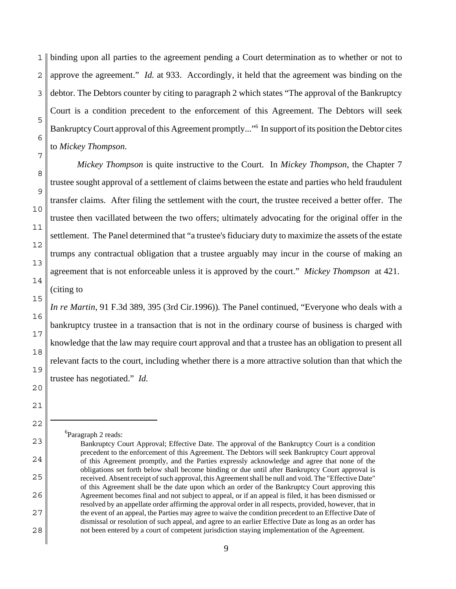1 2 3 5 6 7 binding upon all parties to the agreement pending a Court determination as to whether or not to approve the agreement." *Id.* at 933. Accordingly, it held that the agreement was binding on the debtor. The Debtors counter by citing to paragraph 2 which states "The approval of the Bankruptcy Court is a condition precedent to the enforcement of this Agreement. The Debtors will seek Bankruptcy Court approval of this Agreement promptly..."6 In support of its position the Debtor cites to *Mickey Thompson*.

*Mickey Thompson* is quite instructive to the Court. In *Mickey Thompson*, the Chapter 7 trustee sought approval of a settlement of claims between the estate and parties who held fraudulent transfer claims. After filing the settlement with the court, the trustee received a better offer. The trustee then vacillated between the two offers; ultimately advocating for the original offer in the settlement. The Panel determined that "a trustee's fiduciary duty to maximize the assets of the estate trumps any contractual obligation that a trustee arguably may incur in the course of making an agreement that is not enforceable unless it is approved by the court." *Mickey Thompson* at 421. (citing to

*In re Martin*, 91 F.3d 389, 395 (3rd Cir.1996))*.* The Panel continued, "Everyone who deals with a bankruptcy trustee in a transaction that is not in the ordinary course of business is charged with knowledge that the law may require court approval and that a trustee has an obligation to present all relevant facts to the court, including whether there is a more attractive solution than that which the trustee has negotiated." *Id.* 

6 Paragraph 2 reads:

8

9

10

11

12

13

14

15

16

17

18

19

20

21

22

23

24

25

26

27

Bankruptcy Court Approval; Effective Date. The approval of the Bankruptcy Court is a condition precedent to the enforcement of this Agreement. The Debtors will seek Bankruptcy Court approval of this Agreement promptly, and the Parties expressly acknowledge and agree that none of the obligations set forth below shall become binding or due until after Bankruptcy Court approval is received. Absent receipt of such approval, this Agreement shall be null and void. The "Effective Date" of this Agreement shall be the date upon which an order of the Bankruptcy Court approving this Agreement becomes final and not subject to appeal, or if an appeal is filed, it has been dismissed or resolved by an appellate order affirming the approval order in all respects, provided, however, that in the event of an appeal, the Parties may agree to waive the condition precedent to an Effective Date of dismissal or resolution of such appeal, and agree to an earlier Effective Date as long as an order has not been entered by a court of competent jurisdiction staying implementation of the Agreement.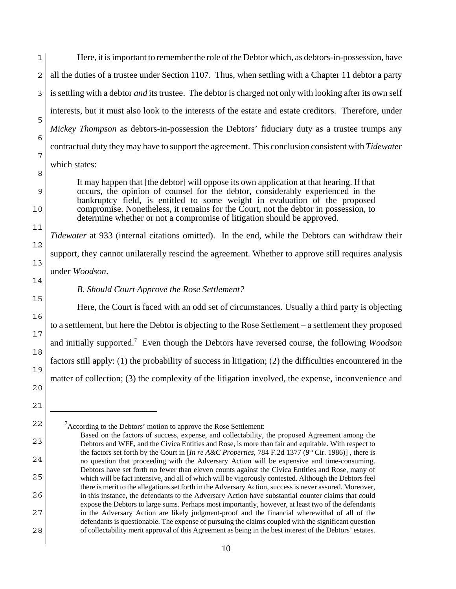1 2 3 5 6 7 8 Here, it is important to remember the role of the Debtor which, as debtors-in-possession, have all the duties of a trustee under Section 1107. Thus, when settling with a Chapter 11 debtor a party is settling with a debtor *and* its trustee. The debtor is charged not only with looking after its own self interests, but it must also look to the interests of the estate and estate creditors. Therefore, under *Mickey Thompson* as debtors-in-possession the Debtors' fiduciary duty as a trustee trumps any contractual duty they may have to support the agreement. This conclusion consistent with *Tidewater* which states:

It may happen that [the debtor] will oppose its own application at that hearing. If that occurs, the opinion of counsel for the debtor, considerably experienced in the bankruptcy field, is entitled to some weight in evaluation of the proposed compromise. Nonetheless, it remains for the Court, not the debtor in possession, to determine whether or not a compromise of litigation should be approved.

11 12 13 *Tidewater* at 933 (internal citations omitted). In the end, while the Debtors can withdraw their support, they cannot unilaterally rescind the agreement. Whether to approve still requires analysis under *Woodson*.

9

10

14

15

16

17

18

19

20

21

22

23

24

25

26

27

28

#### *B. Should Court Approve the Rose Settlement?*

Here, the Court is faced with an odd set of circumstances. Usually a third party is objecting to a settlement, but here the Debtor is objecting to the Rose Settlement – a settlement they proposed and initially supported.7 Even though the Debtors have reversed course, the following *Woodson* factors still apply: (1) the probability of success in litigation; (2) the difficulties encountered in the matter of collection; (3) the complexity of the litigation involved, the expense, inconvenience and

<sup>&</sup>lt;sup>7</sup> According to the Debtors' motion to approve the Rose Settlement:

Based on the factors of success, expense, and collectability, the proposed Agreement among the Debtors and WFE, and the Civica Entities and Rose, is more than fair and equitable. With respect to the factors set forth by the Court in [*In re A&C Properties*, 784 F.2d 1377 (9<sup>th</sup> Cir. 1986)], there is no question that proceeding with the Adversary Action will be expensive and time-consuming. Debtors have set forth no fewer than eleven counts against the Civica Entities and Rose, many of which will be fact intensive, and all of which will be vigorously contested. Although the Debtors feel there is merit to the allegations set forth in the Adversary Action, success is never assured. Moreover, in this instance, the defendants to the Adversary Action have substantial counter claims that could expose the Debtors to large sums. Perhaps most importantly, however, at least two of the defendants in the Adversary Action are likely judgment-proof and the financial wherewithal of all of the defendants is questionable. The expense of pursuing the claims coupled with the significant question of collectability merit approval of this Agreement as being in the best interest of the Debtors' estates.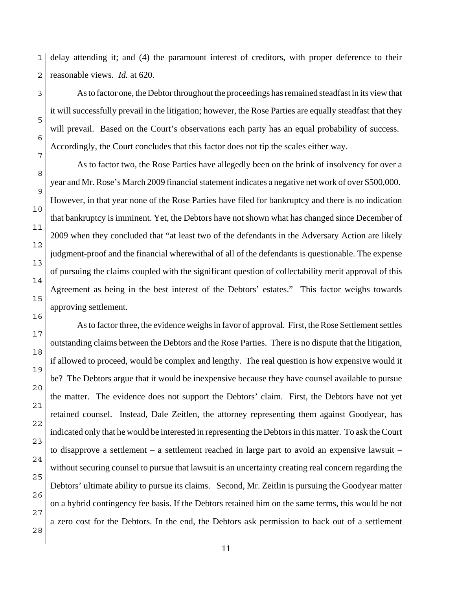1 2 delay attending it; and (4) the paramount interest of creditors, with proper deference to their reasonable views. *Id.* at 620.

As to factor one, the Debtor throughout the proceedings has remained steadfast in its view that it will successfully prevail in the litigation; however, the Rose Parties are equally steadfast that they will prevail. Based on the Court's observations each party has an equal probability of success. Accordingly, the Court concludes that this factor does not tip the scales either way.

8 As to factor two, the Rose Parties have allegedly been on the brink of insolvency for over a year and Mr. Rose's March 2009 financial statement indicates a negative net work of over \$500,000. However, in that year none of the Rose Parties have filed for bankruptcy and there is no indication that bankruptcy is imminent. Yet, the Debtors have not shown what has changed since December of 2009 when they concluded that "at least two of the defendants in the Adversary Action are likely judgment-proof and the financial wherewithal of all of the defendants is questionable. The expense of pursuing the claims coupled with the significant question of collectability merit approval of this Agreement as being in the best interest of the Debtors' estates." This factor weighs towards approving settlement.

23 24 25 26 27 28 As to factor three, the evidence weighs in favor of approval. First, the Rose Settlement settles outstanding claims between the Debtors and the Rose Parties. There is no dispute that the litigation, if allowed to proceed, would be complex and lengthy. The real question is how expensive would it be? The Debtors argue that it would be inexpensive because they have counsel available to pursue the matter. The evidence does not support the Debtors' claim. First, the Debtors have not yet retained counsel. Instead, Dale Zeitlen, the attorney representing them against Goodyear, has indicated only that he would be interested in representing the Debtors in this matter. To ask the Court to disapprove a settlement – a settlement reached in large part to avoid an expensive lawsuit – without securing counsel to pursue that lawsuit is an uncertainty creating real concern regarding the Debtors' ultimate ability to pursue its claims. Second, Mr. Zeitlin is pursuing the Goodyear matter on a hybrid contingency fee basis. If the Debtors retained him on the same terms, this would be not a zero cost for the Debtors. In the end, the Debtors ask permission to back out of a settlement

3

5

6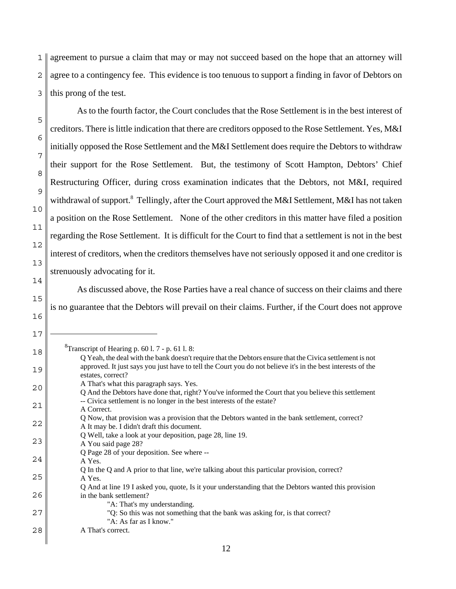1 2 3 agreement to pursue a claim that may or may not succeed based on the hope that an attorney will agree to a contingency fee. This evidence is too tenuous to support a finding in favor of Debtors on this prong of the test.

As to the fourth factor, the Court concludes that the Rose Settlement is in the best interest of creditors. There is little indication that there are creditors opposed to the Rose Settlement. Yes, M&I initially opposed the Rose Settlement and the M&I Settlement does require the Debtors to withdraw their support for the Rose Settlement. But, the testimony of Scott Hampton, Debtors' Chief Restructuring Officer, during cross examination indicates that the Debtors, not M&I, required withdrawal of support.<sup>8</sup> Tellingly, after the Court approved the M&I Settlement, M&I has not taken a position on the Rose Settlement. None of the other creditors in this matter have filed a position regarding the Rose Settlement. It is difficult for the Court to find that a settlement is not in the best interest of creditors, when the creditors themselves have not seriously opposed it and one creditor is strenuously advocating for it.

As discussed above, the Rose Parties have a real chance of success on their claims and there is no guarantee that the Debtors will prevail on their claims. Further, if the Court does not approve

<sup>8</sup>Transcript of Hearing p. 60 l. 7 - p. 61 l. 8:

5

6

7

8

9

10

11

12

13

14

15

16

<sup>18</sup> 19 20 21 22 23 24 25 26 27 28 Q Yeah, the deal with the bank doesn't require that the Debtors ensure that the Civica settlement is not approved. It just says you just have to tell the Court you do not believe it's in the best interests of the estates, correct? A That's what this paragraph says. Yes. Q And the Debtors have done that, right? You've informed the Court that you believe this settlement -- Civica settlement is no longer in the best interests of the estate? A Correct. Q Now, that provision was a provision that the Debtors wanted in the bank settlement, correct? A It may be. I didn't draft this document. Q Well, take a look at your deposition, page 28, line 19. A You said page 28? Q Page 28 of your deposition. See where -- A Yes. Q In the Q and A prior to that line, we're talking about this particular provision, correct? A Yes. Q And at line 19 I asked you, quote, Is it your understanding that the Debtors wanted this provision in the bank settlement? "A: That's my understanding. "Q: So this was not something that the bank was asking for, is that correct? "A: As far as I know." A That's correct.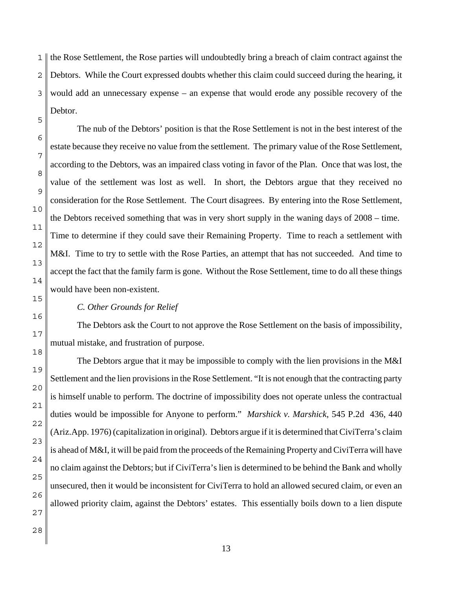1 2 3 the Rose Settlement, the Rose parties will undoubtedly bring a breach of claim contract against the Debtors. While the Court expressed doubts whether this claim could succeed during the hearing, it would add an unnecessary expense – an expense that would erode any possible recovery of the Debtor.

12 The nub of the Debtors' position is that the Rose Settlement is not in the best interest of the estate because they receive no value from the settlement. The primary value of the Rose Settlement, according to the Debtors, was an impaired class voting in favor of the Plan. Once that was lost, the value of the settlement was lost as well. In short, the Debtors argue that they received no consideration for the Rose Settlement. The Court disagrees. By entering into the Rose Settlement, the Debtors received something that was in very short supply in the waning days of 2008 – time. Time to determine if they could save their Remaining Property. Time to reach a settlement with M&I. Time to try to settle with the Rose Parties, an attempt that has not succeeded. And time to accept the fact that the family farm is gone. Without the Rose Settlement, time to do all these things would have been non-existent.

#### *C. Other Grounds for Relief*

The Debtors ask the Court to not approve the Rose Settlement on the basis of impossibility, mutual mistake, and frustration of purpose.

The Debtors argue that it may be impossible to comply with the lien provisions in the M&I Settlement and the lien provisions in the Rose Settlement. "It is not enough that the contracting party is himself unable to perform. The doctrine of impossibility does not operate unless the contractual duties would be impossible for Anyone to perform." *Marshick v. Marshick*, 545 P.2d 436, 440 (Ariz.App. 1976) (capitalization in original). Debtors argue if it is determined that CiviTerra's claim is ahead of M&I, it will be paid from the proceeds of the Remaining Property and CiviTerra will have no claim against the Debtors; but if CiviTerra's lien is determined to be behind the Bank and wholly unsecured, then it would be inconsistent for CiviTerra to hold an allowed secured claim, or even an allowed priority claim, against the Debtors' estates. This essentially boils down to a lien dispute

5

6

7

8

9

10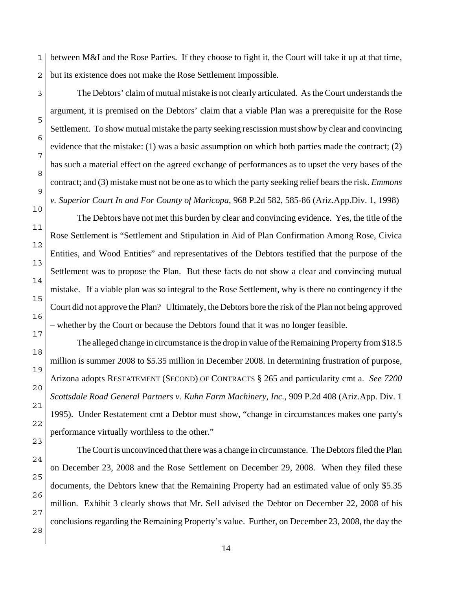1 2 between M&I and the Rose Parties. If they choose to fight it, the Court will take it up at that time, but its existence does not make the Rose Settlement impossible.

3

5

6

7

The Debtors' claim of mutual mistake is not clearly articulated. As the Court understands the argument, it is premised on the Debtors' claim that a viable Plan was a prerequisite for the Rose Settlement. To show mutual mistake the party seeking rescission must show by clear and convincing evidence that the mistake: (1) was a basic assumption on which both parties made the contract; (2) has such a material effect on the agreed exchange of performances as to upset the very bases of the contract; and (3) mistake must not be one as to which the party seeking relief bears the risk. *Emmons v. Superior Court In and For County of Maricopa*, 968 P.2d 582, 585-86 (Ariz.App.Div. 1, 1998)

The Debtors have not met this burden by clear and convincing evidence. Yes, the title of the Rose Settlement is "Settlement and Stipulation in Aid of Plan Confirmation Among Rose, Civica Entities, and Wood Entities" and representatives of the Debtors testified that the purpose of the Settlement was to propose the Plan. But these facts do not show a clear and convincing mutual mistake. If a viable plan was so integral to the Rose Settlement, why is there no contingency if the Court did not approve the Plan? Ultimately, the Debtors bore the risk of the Plan not being approved – whether by the Court or because the Debtors found that it was no longer feasible.

The alleged change in circumstance is the drop in value of the Remaining Property from \$18.5 million is summer 2008 to \$5.35 million in December 2008. In determining frustration of purpose, Arizona adopts RESTATEMENT (SECOND) OF CONTRACTS § 265 and particularity cmt a. *See 7200 Scottsdale Road General Partners v. Kuhn Farm Machinery, Inc.*, 909 P.2d 408 (Ariz.App. Div. 1 1995). Under Restatement cmt a Debtor must show, "change in circumstances makes one party's performance virtually worthless to the other."

The Court is unconvinced that there was a change in circumstance. The Debtors filed the Plan on December 23, 2008 and the Rose Settlement on December 29, 2008. When they filed these documents, the Debtors knew that the Remaining Property had an estimated value of only \$5.35 million. Exhibit 3 clearly shows that Mr. Sell advised the Debtor on December 22, 2008 of his conclusions regarding the Remaining Property's value. Further, on December 23, 2008, the day the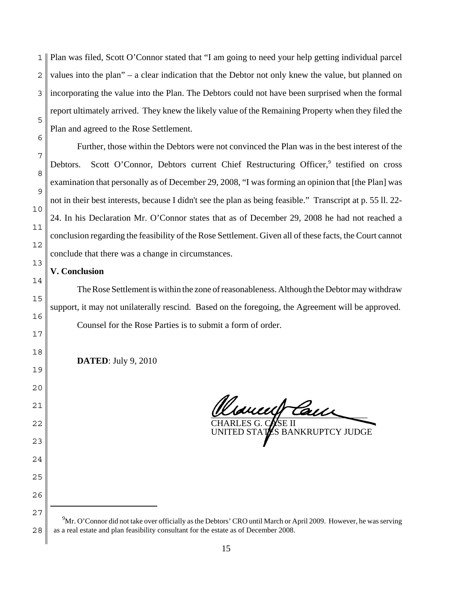1 2 3 5 Plan was filed, Scott O'Connor stated that "I am going to need your help getting individual parcel values into the plan" – a clear indication that the Debtor not only knew the value, but planned on incorporating the value into the Plan. The Debtors could not have been surprised when the formal report ultimately arrived. They knew the likely value of the Remaining Property when they filed the Plan and agreed to the Rose Settlement.

Further, those within the Debtors were not convinced the Plan was in the best interest of the Debtors. Scott O'Connor, Debtors current Chief Restructuring Officer,<sup>9</sup> testified on cross examination that personally as of December 29, 2008, "I was forming an opinion that [the Plan] was not in their best interests, because I didn't see the plan as being feasible." Transcript at p. 55 ll. 22- 24. In his Declaration Mr. O'Connor states that as of December 29, 2008 he had not reached a conclusion regarding the feasibility of the Rose Settlement. Given all of these facts, the Court cannot conclude that there was a change in circumstances.

# **V. Conclusion**

6

7

8

9

10

11

12

13

14

15

16

17

18

19

20

21

22

23

24

25

26

27

The Rose Settlement is within the zone of reasonableness. Although the Debtor may withdraw support, it may not unilaterally rescind. Based on the foregoing, the Agreement will be approved. Counsel for the Rose Parties is to submit a form of order.

**DATED**: July 9, 2010

\_\_\_\_\_\_\_\_\_\_\_\_\_\_\_\_\_\_\_\_\_\_\_\_\_\_\_\_\_\_\_\_\_\_\_ CHARLES G. CASE II

UNITED STATES BANKRUPTCY JUDGE

<sup>28</sup>  $9^9$ Mr. O'Connor did not take over officially as the Debtors' CRO until March or April 2009. However, he was serving as a real estate and plan feasibility consultant for the estate as of December 2008.